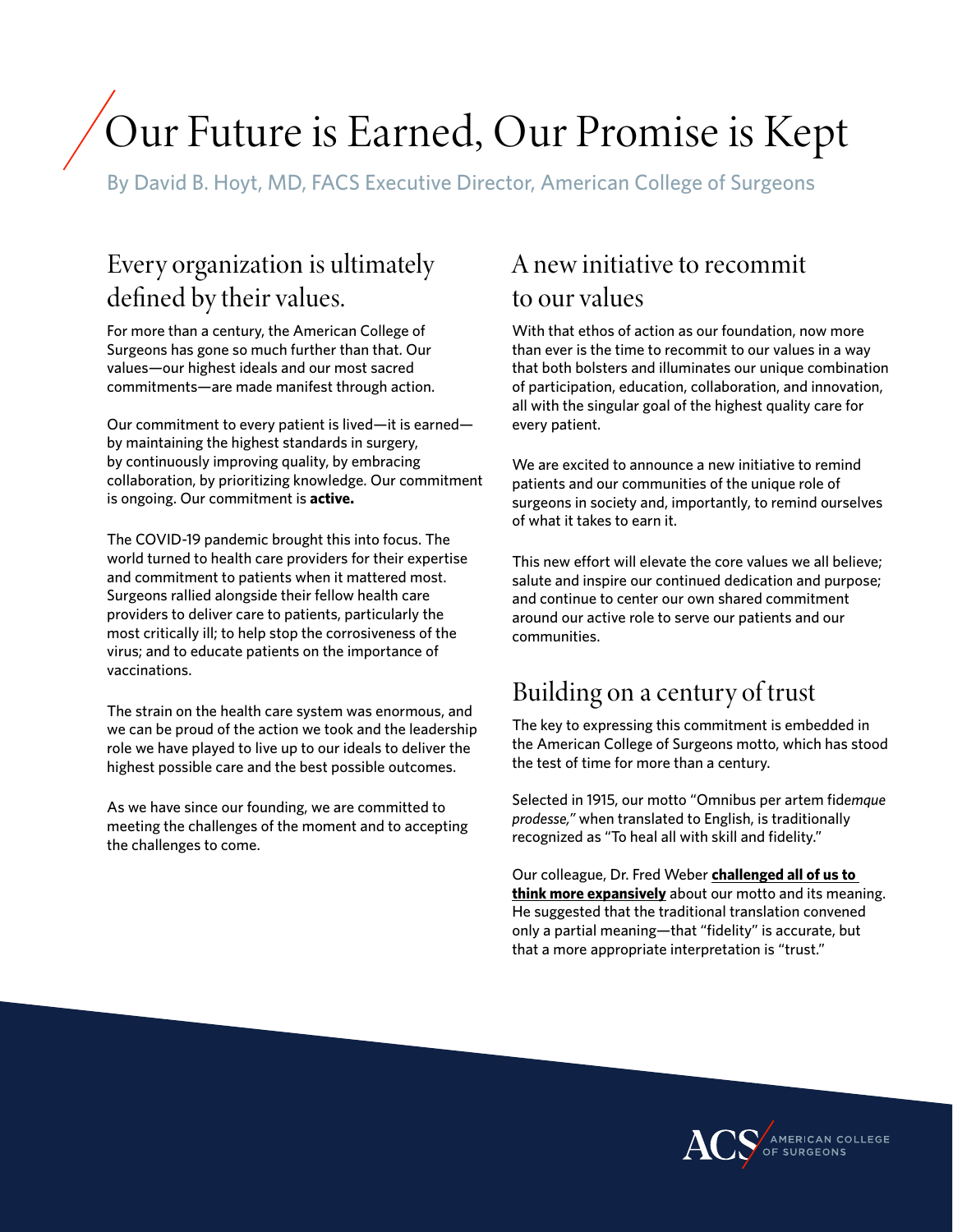# Our Future is Earned, Our Promise is Kept

By David B. Hoyt, MD, FACS Executive Director, American College of Surgeons

### Every organization is ultimately defined by their values.

For more than a century, the American College of Surgeons has gone so much further than that. Our values—our highest ideals and our most sacred commitments—are made manifest through action.

Our commitment to every patient is lived—it is earned by maintaining the highest standards in surgery, by continuously improving quality, by embracing collaboration, by prioritizing knowledge. Our commitment is ongoing. Our commitment is **active.**

The COVID-19 pandemic brought this into focus. The world turned to health care providers for their expertise and commitment to patients when it mattered most. Surgeons rallied alongside their fellow health care providers to deliver care to patients, particularly the most critically ill; to help stop the corrosiveness of the virus; and to educate patients on the importance of vaccinations.

The strain on the health care system was enormous, and we can be proud of the action we took and the leadership role we have played to live up to our ideals to deliver the highest possible care and the best possible outcomes.

As we have since our founding, we are committed to meeting the challenges of the moment and to accepting the challenges to come.

#### A new initiative to recommit to our values

With that ethos of action as our foundation, now more than ever is the time to recommit to our values in a way that both bolsters and illuminates our unique combination of participation, education, collaboration, and innovation, all with the singular goal of the highest quality care for every patient.

We are excited to announce a new initiative to remind patients and our communities of the unique role of surgeons in society and, importantly, to remind ourselves of what it takes to earn it.

This new effort will elevate the core values we all believe; salute and inspire our continued dedication and purpose; and continue to center our own shared commitment around our active role to serve our patients and our communities.

#### Building on a century of trust

The key to expressing this commitment is embedded in the American College of Surgeons motto, which has stood the test of time for more than a century.

Selected in 1915, our motto "Omnibus per artem fid*emque prodesse,"* when translated to English, is traditionally recognized as "To heal all with skill and fidelity."

Our colleague, Dr. Fred Weber **challenged all of us to think more expansively** about our motto and its meaning. He suggested that the traditional translation convened only a partial meaning—that "fidelity" is accurate, but that a more appropriate interpretation is "trust."